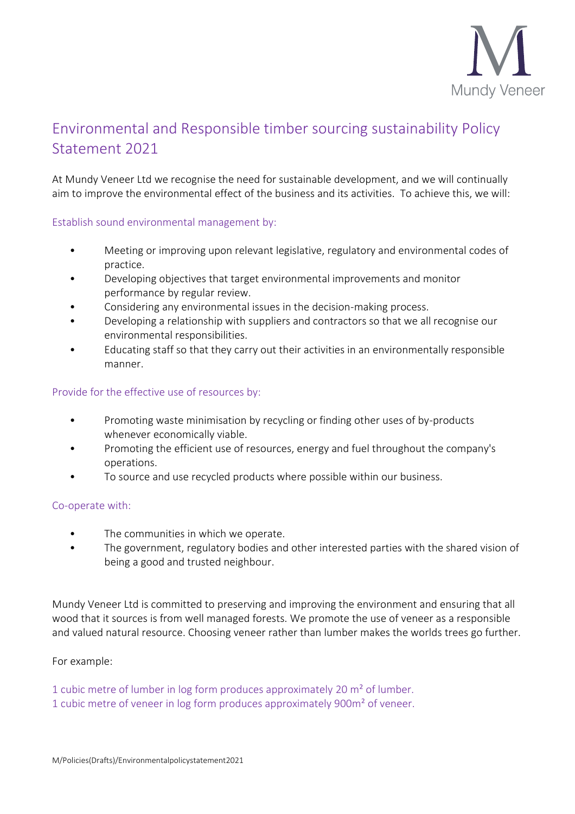

# Environmental and Responsible timber sourcing sustainability Policy Statement 2021

At Mundy Veneer Ltd we recognise the need for sustainable development, and we will continually aim to improve the environmental effect of the business and its activities. To achieve this, we will:

# Establish sound environmental management by:

- Meeting or improving upon relevant legislative, regulatory and environmental codes of practice.
- Developing objectives that target environmental improvements and monitor performance by regular review.
- Considering any environmental issues in the decision-making process.
- Developing a relationship with suppliers and contractors so that we all recognise our environmental responsibilities.
- Educating staff so that they carry out their activities in an environmentally responsible manner.

### Provide for the effective use of resources by:

- Promoting waste minimisation by recycling or finding other uses of by-products whenever economically viable.
- Promoting the efficient use of resources, energy and fuel throughout the company's operations.
- To source and use recycled products where possible within our business.

#### Co-operate with:

- The communities in which we operate.
- The government, regulatory bodies and other interested parties with the shared vision of being a good and trusted neighbour.

Mundy Veneer Ltd is committed to preserving and improving the environment and ensuring that all wood that it sources is from well managed forests. We promote the use of veneer as a responsible and valued natural resource. Choosing veneer rather than lumber makes the worlds trees go further.

# For example:

1 cubic metre of lumber in log form produces approximately 20 m² of lumber. 1 cubic metre of veneer in log form produces approximately 900m² of veneer.